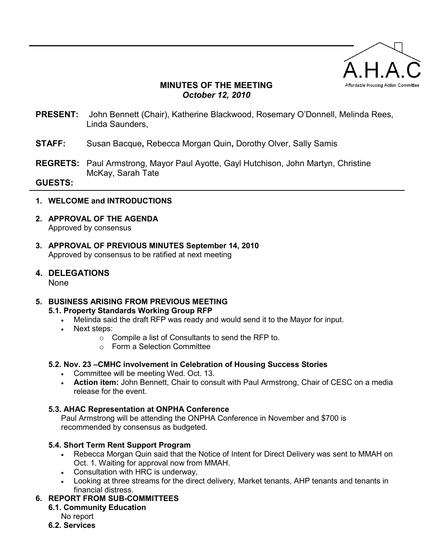

# **MINUTES OF THE MEETING**  *October 12, 2010*

- **PRESENT:** John Bennett (Chair), Katherine Blackwood, Rosemary O'Donnell, Melinda Rees, Linda Saunders,
- **STAFF:** Susan Bacque**,** Rebecca Morgan Quin**,** Dorothy Olver, Sally Samis
- **REGRETS:** Paul Armstrong, Mayor Paul Ayotte, Gayl Hutchison, John Martyn, Christine McKay, Sarah Tate

#### **GUESTS:**

### **1. WELCOME and INTRODUCTIONS**

- **2. APPROVAL OF THE AGENDA**  Approved by consensus
- **3. APPROVAL OF PREVIOUS MINUTES September 14, 2010**  Approved by consensus to be ratified at next meeting
- **4. DELEGATIONS**  None

# **5. BUSINESS ARISING FROM PREVIOUS MEETING**

# **5.1. Property Standards Working Group RFP**

- Melinda said the draft RFP was ready and would send it to the Mayor for input.
- Next steps:
	- o Compile a list of Consultants to send the RFP to.
	- o Form a Selection Committee
- **5.2. Nov. 23 –CMHC involvement in Celebration of Housing Success Stories** 
	- Committee will be meeting Wed. Oct. 13.
	- **Action item:** John Bennett, Chair to consult with Paul Armstrong, Chair of CESC on a media release for the event.

#### **5.3. AHAC Representation at ONPHA Conference**

Paul Armstrong will be attending the ONPHA Conference in November and \$700 is recommended by consensus as budgeted.

#### **5.4. Short Term Rent Support Program**

- Rebecca Morgan Quin said that the Notice of Intent for Direct Delivery was sent to MMAH on Oct. 1. Waiting for approval now from MMAH.
- Consultation with HRC is underway,
- Looking at three streams for the direct delivery, Market tenants, AHP tenants and tenants in financial distress.

#### **6. REPORT FROM SUB-COMMITTEES**

**6.1. Community Education** 

No report

**6.2. Services**